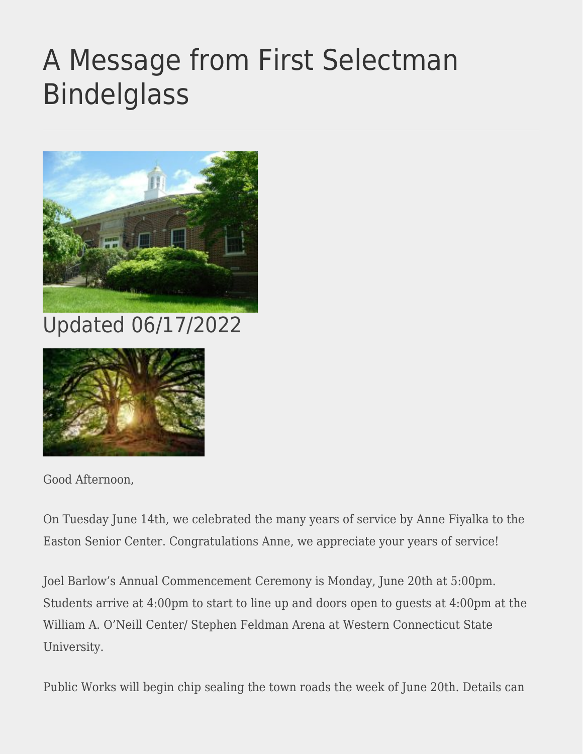## [A Message from First Selectman](https://eastoncourier.news/2022/06/17/a-message-from-first-selectman-bindelglass-57/) [Bindelglass](https://eastoncourier.news/2022/06/17/a-message-from-first-selectman-bindelglass-57/)



Updated 06/17/2022



Good Afternoon,

On Tuesday June 14th, we celebrated the many years of service by Anne Fiyalka to the Easton Senior Center. Congratulations Anne, we appreciate your years of service!

Joel Barlow's Annual Commencement Ceremony is Monday, June 20th at 5:00pm. Students arrive at 4:00pm to start to line up and doors open to guests at 4:00pm at the William A. O'Neill Center/ Stephen Feldman Arena at Western Connecticut State University.

Public Works will begin chip sealing the town roads the week of June 20th. Details can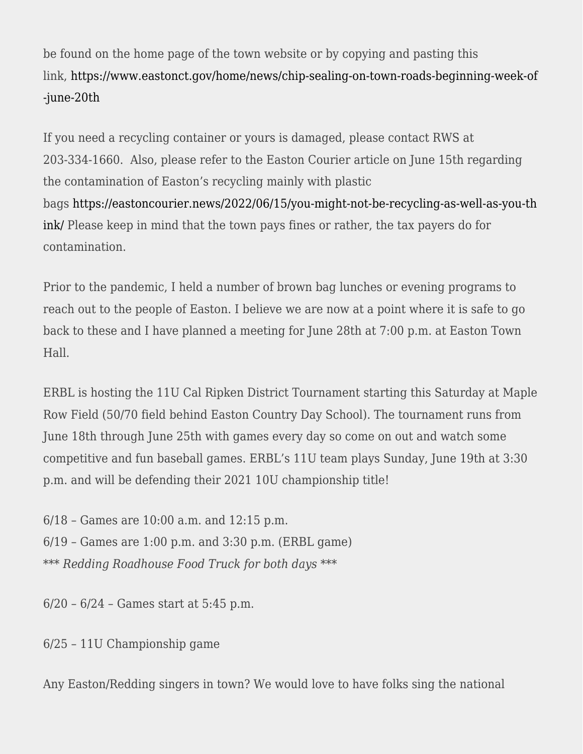be found on the home page of the town website or by copying and pasting this link, [https://www.eastonct.gov/home/news/chip-sealing-on-town-roads-beginning-week-of](http://www.eastonct.gov/home/news/chip-sealing-on-town-roads-beginning-week-of-june-20th) [-june-20th](http://www.eastonct.gov/home/news/chip-sealing-on-town-roads-beginning-week-of-june-20th)

If you need a recycling container or yours is damaged, please contact RWS at 203-334-1660. Also, please refer to the Easton Courier article on June 15th regarding the contamination of Easton's recycling mainly with plastic bags [https://eastoncourier.news/2022/06/15/you-might-not-be-recycling-as-well-as-you-th](https://eastoncourier.news/2022/06/15/you-might-not-be-recycling-as-well-as-you-think/) [ink/](https://eastoncourier.news/2022/06/15/you-might-not-be-recycling-as-well-as-you-think/) Please keep in mind that the town pays fines or rather, the tax payers do for contamination.

Prior to the pandemic, I held a number of brown bag lunches or evening programs to reach out to the people of Easton. I believe we are now at a point where it is safe to go back to these and I have planned a meeting for June 28th at 7:00 p.m. at Easton Town Hall.

ERBL is hosting the 11U Cal Ripken District Tournament starting this Saturday at Maple Row Field (50/70 field behind Easton Country Day School). The tournament runs from June 18th through June 25th with games every day so come on out and watch some competitive and fun baseball games. ERBL's 11U team plays Sunday, June 19th at 3:30 p.m. and will be defending their 2021 10U championship title!

6/18 – Games are 10:00 a.m. and 12:15 p.m. 6/19 – Games are 1:00 p.m. and 3:30 p.m. (ERBL game) *\*\*\* Redding Roadhouse Food Truck for both days \*\*\**

6/20 – 6/24 – Games start at 5:45 p.m.

6/25 – 11U Championship game

Any Easton/Redding singers in town? We would love to have folks sing the national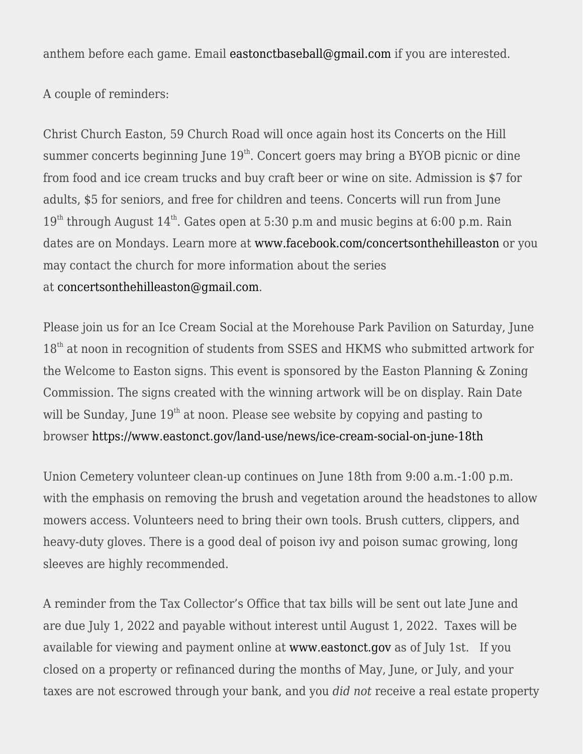anthem before each game. Email [eastonctbaseball@gmail.com](mailto:eastonctbaseball@gmail.com) if you are interested.

A couple of reminders:

Christ Church Easton, 59 Church Road will once again host its Concerts on the Hill summer concerts beginning June  $19<sup>th</sup>$ . Concert goers may bring a BYOB picnic or dine from food and ice cream trucks and buy craft beer or wine on site. Admission is \$7 for adults, \$5 for seniors, and free for children and teens. Concerts will run from June  $19<sup>th</sup>$  through August  $14<sup>th</sup>$ . Gates open at 5:30 p.m and music begins at 6:00 p.m. Rain dates are on Mondays. Learn more at [www.facebook.com/concertsonthehilleaston](http://www.facebook.com/concertsonthehilleaston) or you may contact the church for more information about the series at [concertsonthehilleaston@gmail.com.](mailto:concertsonthehilleaston@gmail.com)

Please join us for an Ice Cream Social at the Morehouse Park Pavilion on Saturday, June  $18<sup>th</sup>$  at noon in recognition of students from SSES and HKMS who submitted artwork for the Welcome to Easton signs. This event is sponsored by the Easton Planning & Zoning Commission. The signs created with the winning artwork will be on display. Rain Date will be Sunday, June  $19<sup>th</sup>$  at noon. Please see website by copying and pasting to browser [https://www.eastonct.gov/land-use/news/ice-cream-social-on-june-18th](http://www.eastonct.gov/land-use/news/ice-cream-social-on-june-18th)

Union Cemetery volunteer clean-up continues on June 18th from 9:00 a.m.-1:00 p.m. with the emphasis on removing the brush and vegetation around the headstones to allow mowers access. Volunteers need to bring their own tools. Brush cutters, clippers, and heavy-duty gloves. There is a good deal of poison ivy and poison sumac growing, long sleeves are highly recommended.

A reminder from the Tax Collector's Office that tax bills will be sent out late June and are due July 1, 2022 and payable without interest until August 1, 2022. Taxes will be available for viewing and payment online at [www.eastonct.gov](http://www.eastonct.gov/) as of July 1st. If you closed on a property or refinanced during the months of May, June, or July, and your taxes are not escrowed through your bank, and you *did not* receive a real estate property